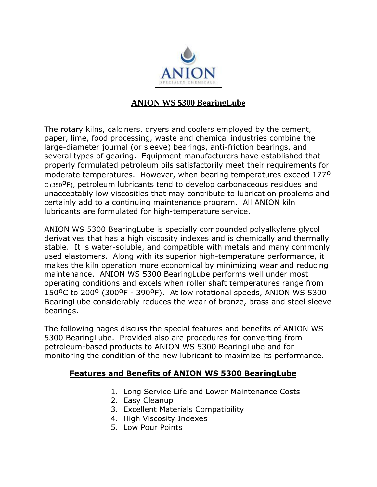

# **ANION WS 5300 BearingLube**

The rotary kilns, calciners, dryers and coolers employed by the cement, paper, lime, food processing, waste and chemical industries combine the large-diameter journal (or sleeve) bearings, anti-friction bearings, and several types of gearing. Equipment manufacturers have established that properly formulated petroleum oils satisfactorily meet their requirements for moderate temperatures. However, when bearing temperatures exceed 177º  $C(350^{\circ}F)$ , petroleum lubricants tend to develop carbonaceous residues and unacceptably low viscosities that may contribute to lubrication problems and certainly add to a continuing maintenance program. All ANION kiln lubricants are formulated for high-temperature service.

ANION WS 5300 BearingLube is specially compounded polyalkylene glycol derivatives that has a high viscosity indexes and is chemically and thermally stable. It is water-soluble, and compatible with metals and many commonly used elastomers. Along with its superior high-temperature performance, it makes the kiln operation more economical by minimizing wear and reducing maintenance. ANION WS 5300 BearingLube performs well under most operating conditions and excels when roller shaft temperatures range from 150ºC to 200º (300ºF - 390ºF). At low rotational speeds, ANION WS 5300 BearingLube considerably reduces the wear of bronze, brass and steel sleeve bearings.

The following pages discuss the special features and benefits of ANION WS 5300 BearingLube. Provided also are procedures for converting from petroleum-based products to ANION WS 5300 BearingLube and for monitoring the condition of the new lubricant to maximize its performance.

### **Features and Benefits of ANION WS 5300 BearingLube**

- 1. Long Service Life and Lower Maintenance Costs
- 2. Easy Cleanup
- 3. Excellent Materials Compatibility
- 4. High Viscosity Indexes
- 5. Low Pour Points